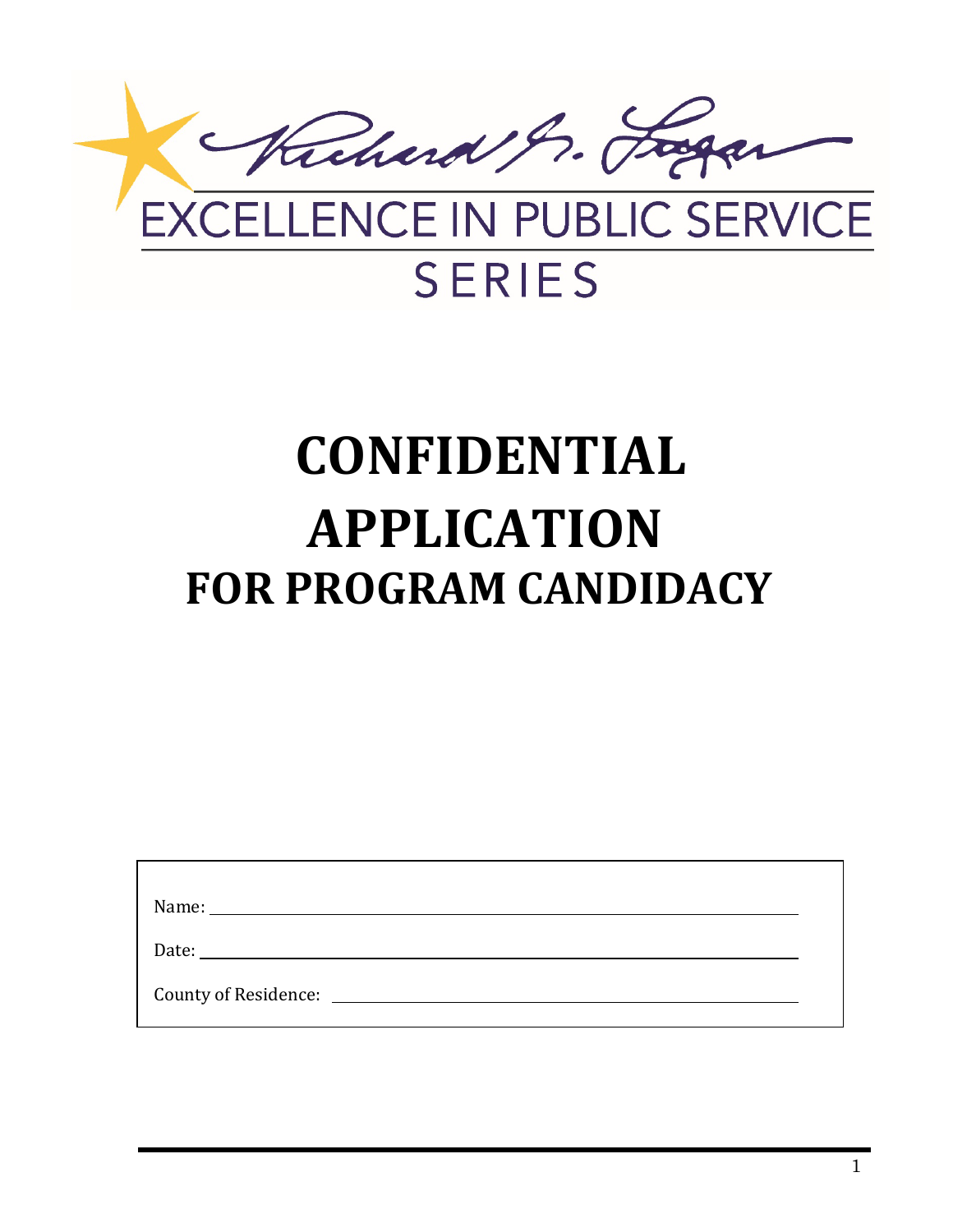

# **SERIES**

# **CONFIDENTIAL APPLICATION FOR PROGRAM CANDIDACY**

| Date: the contract of the contract of the contract of the contract of the contract of the contract of the contract of the contract of the contract of the contract of the contract of the contract of the contract of the cont |  |
|--------------------------------------------------------------------------------------------------------------------------------------------------------------------------------------------------------------------------------|--|
| County of Residence: _______________                                                                                                                                                                                           |  |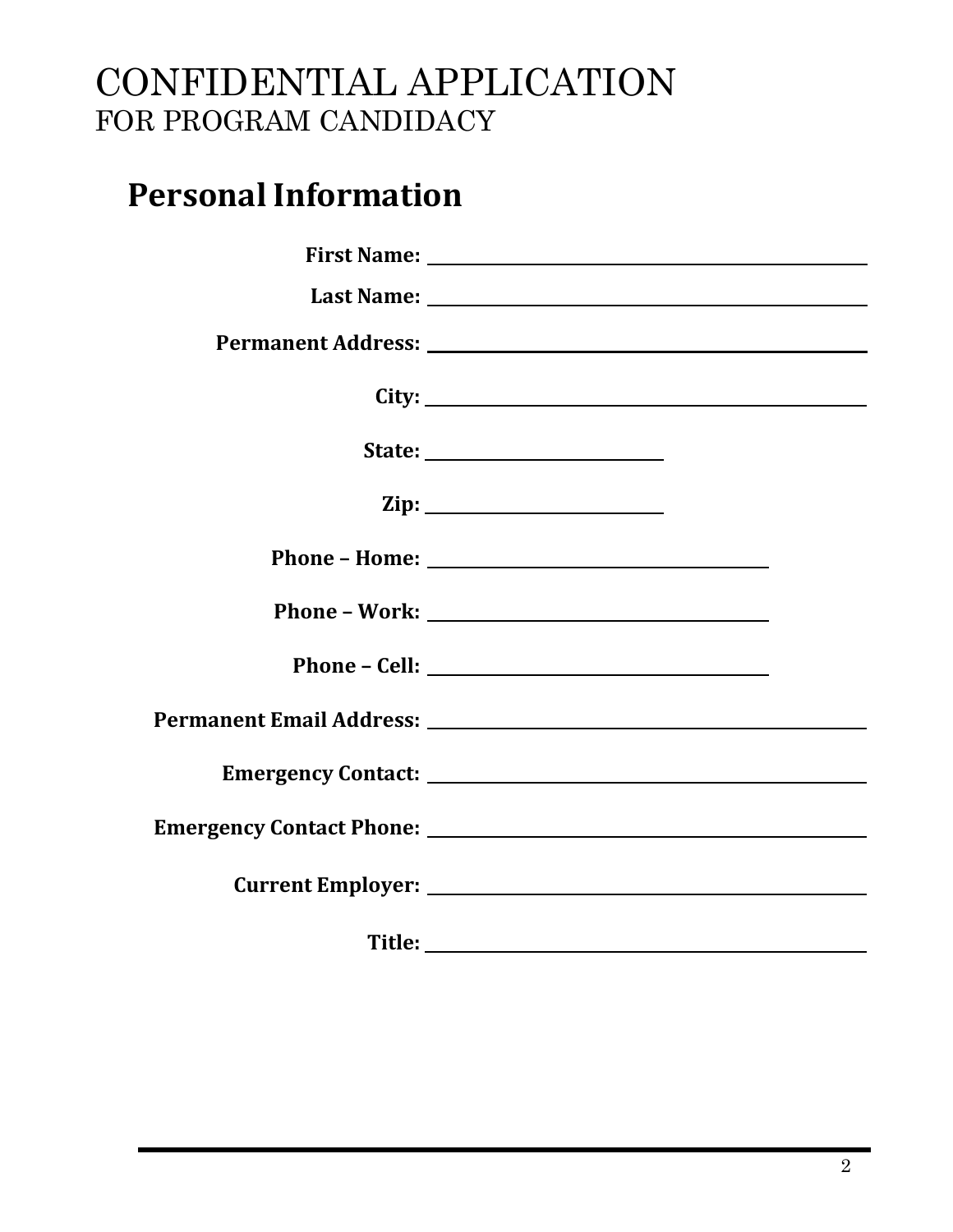### **Personal Information**

| $\mathbf{Zip:}$ |  |
|-----------------|--|
|                 |  |
|                 |  |
|                 |  |
|                 |  |
|                 |  |
|                 |  |
|                 |  |
|                 |  |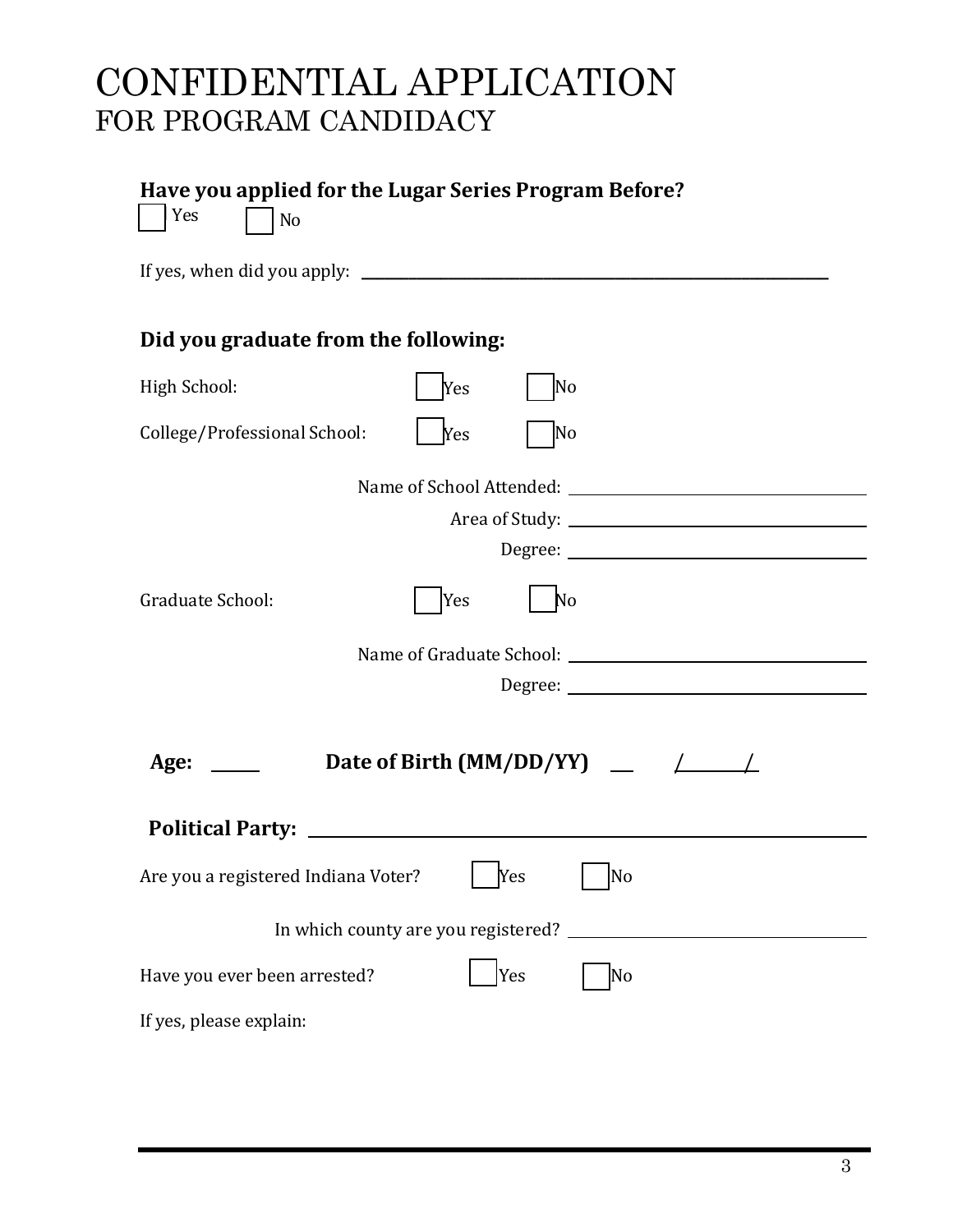| Have you applied for the Lugar Series Program Before?<br>Yes<br>N <sub>o</sub> |  |  |  |
|--------------------------------------------------------------------------------|--|--|--|
|                                                                                |  |  |  |
| Did you graduate from the following:                                           |  |  |  |
| High School:<br>Yes<br>No                                                      |  |  |  |
| College/Professional School:<br>Yes<br>No                                      |  |  |  |
| Graduate School:<br>Yes<br>No                                                  |  |  |  |
| Age: $\Box$ Date of Birth (MM/DD/YY) $\Box$ /                                  |  |  |  |
| Are you a registered Indiana Voter?   Yes   No                                 |  |  |  |
|                                                                                |  |  |  |
| Have you ever been arrested?<br>Yes<br>No                                      |  |  |  |
| If yes, please explain:                                                        |  |  |  |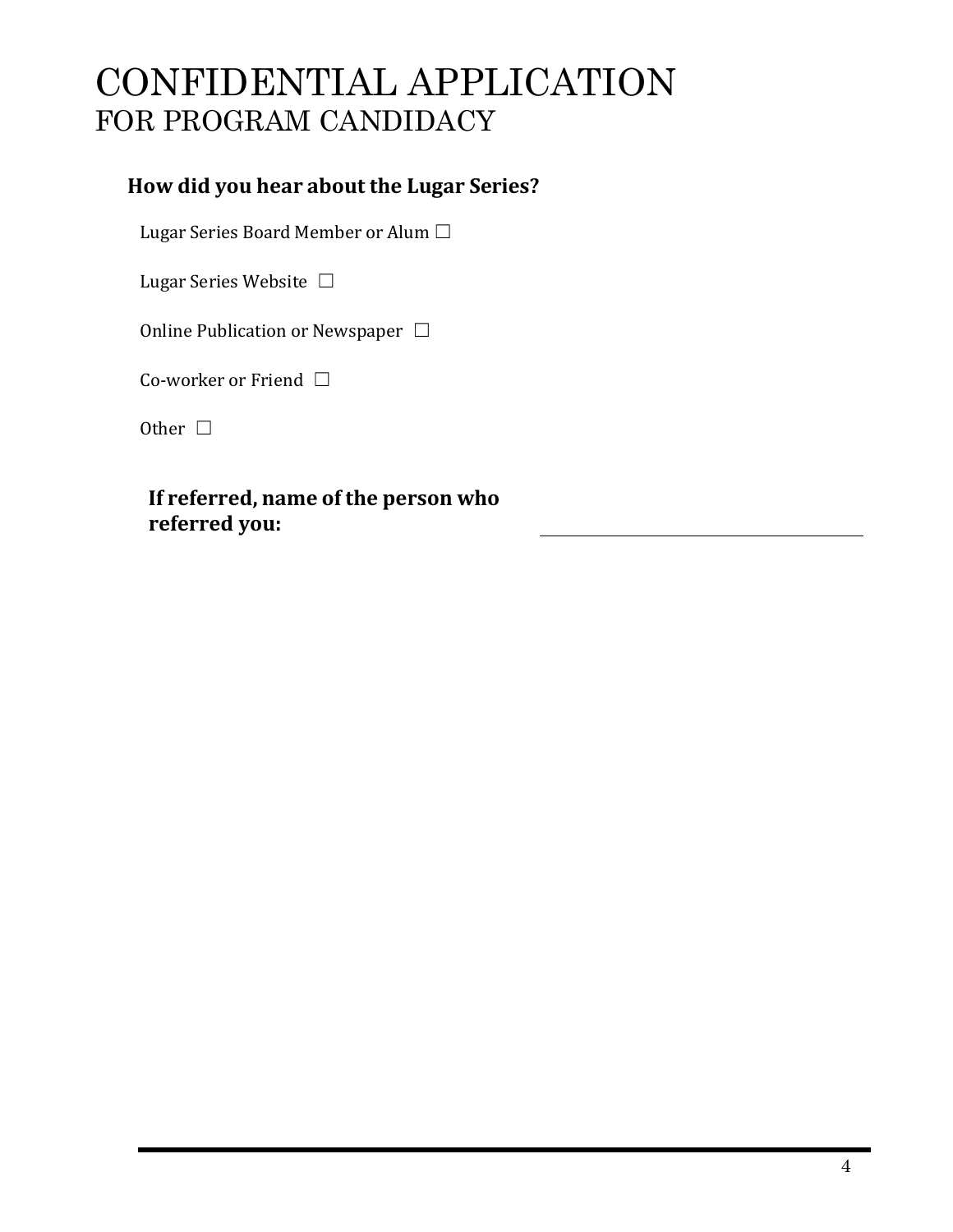#### **How did you hear about the Lugar Series?**

Lugar Series Board Member or Alum □

Lugar Series Website □

Online Publication or Newspaper □

Co-worker or Friend □

Other □

**If referred, name of the person who referred you:**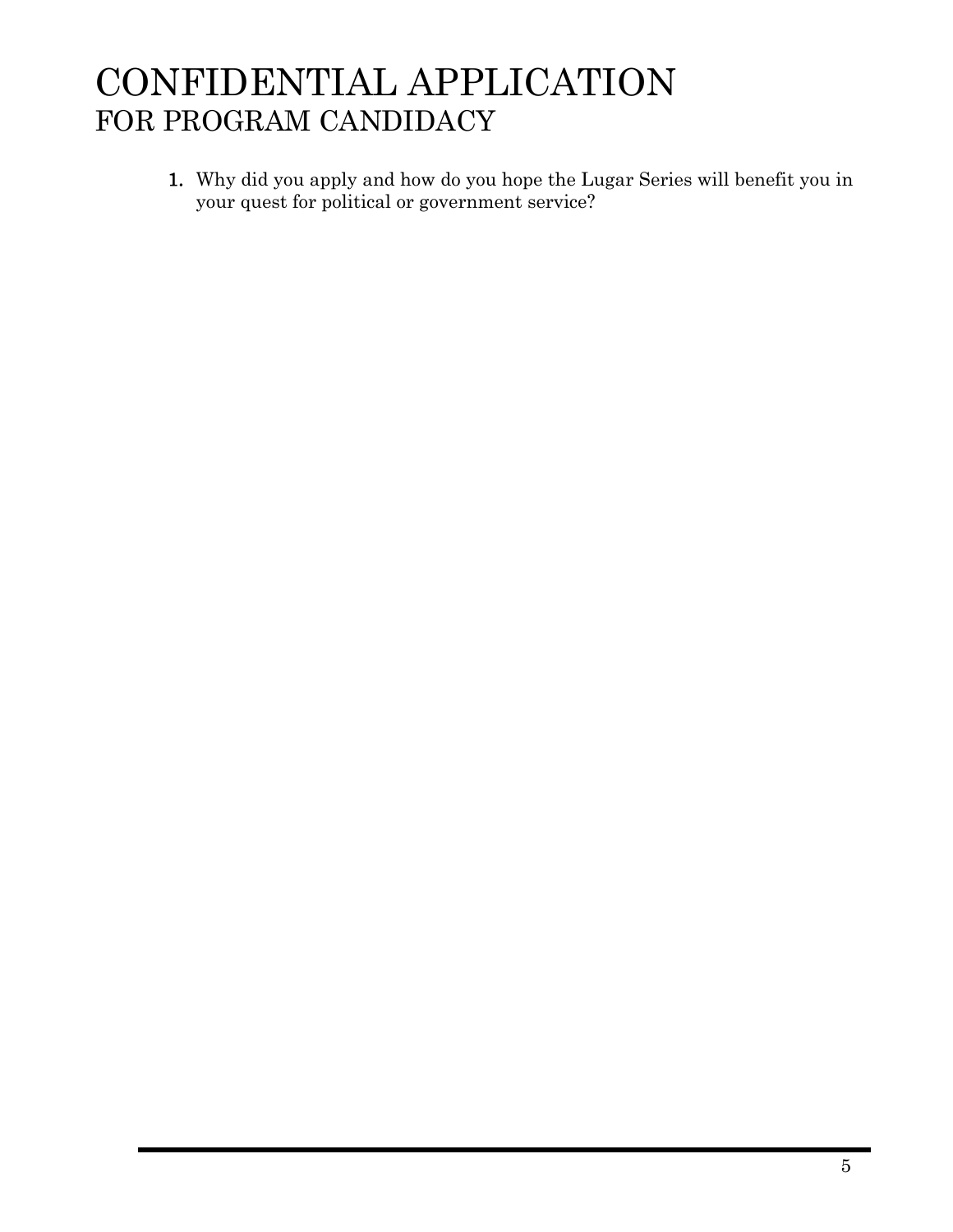1. Why did you apply and how do you hope the Lugar Series will benefit you in your quest for political or government service?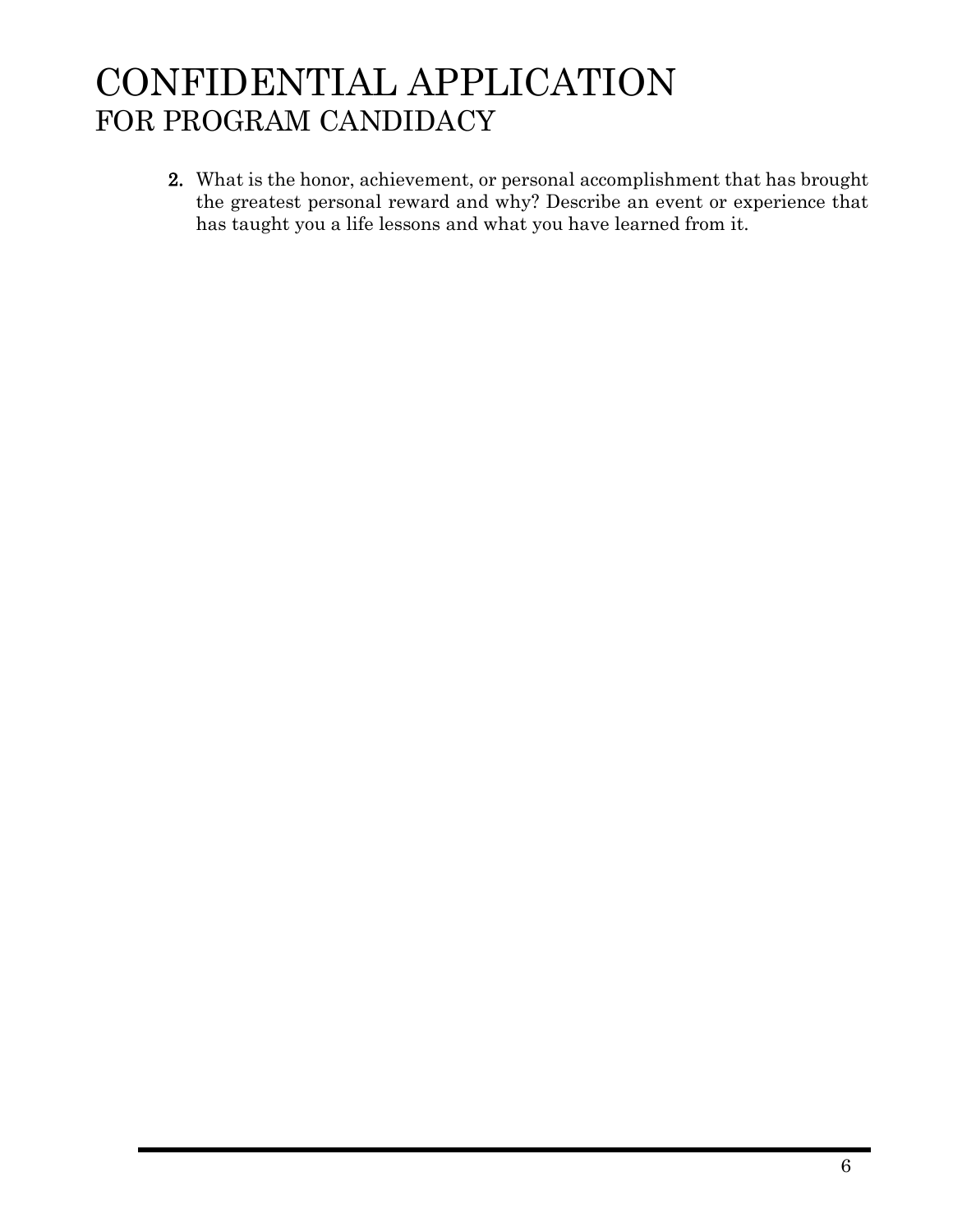2. What is the honor, achievement, or personal accomplishment that has brought the greatest personal reward and why? Describe an event or experience that has taught you a life lessons and what you have learned from it.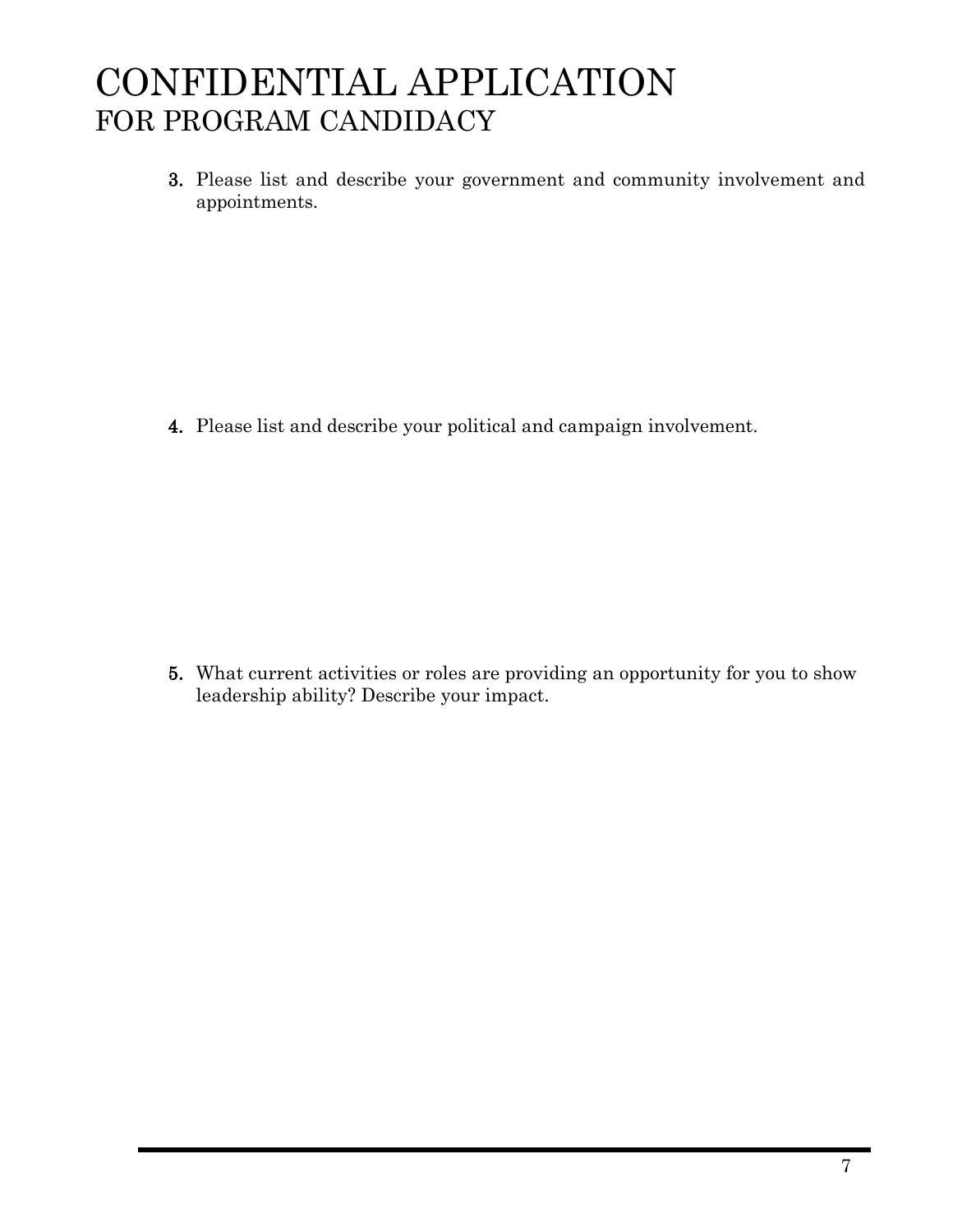3. Please list and describe your government and community involvement and appointments.

4. Please list and describe your political and campaign involvement.

5. What current activities or roles are providing an opportunity for you to show leadership ability? Describe your impact.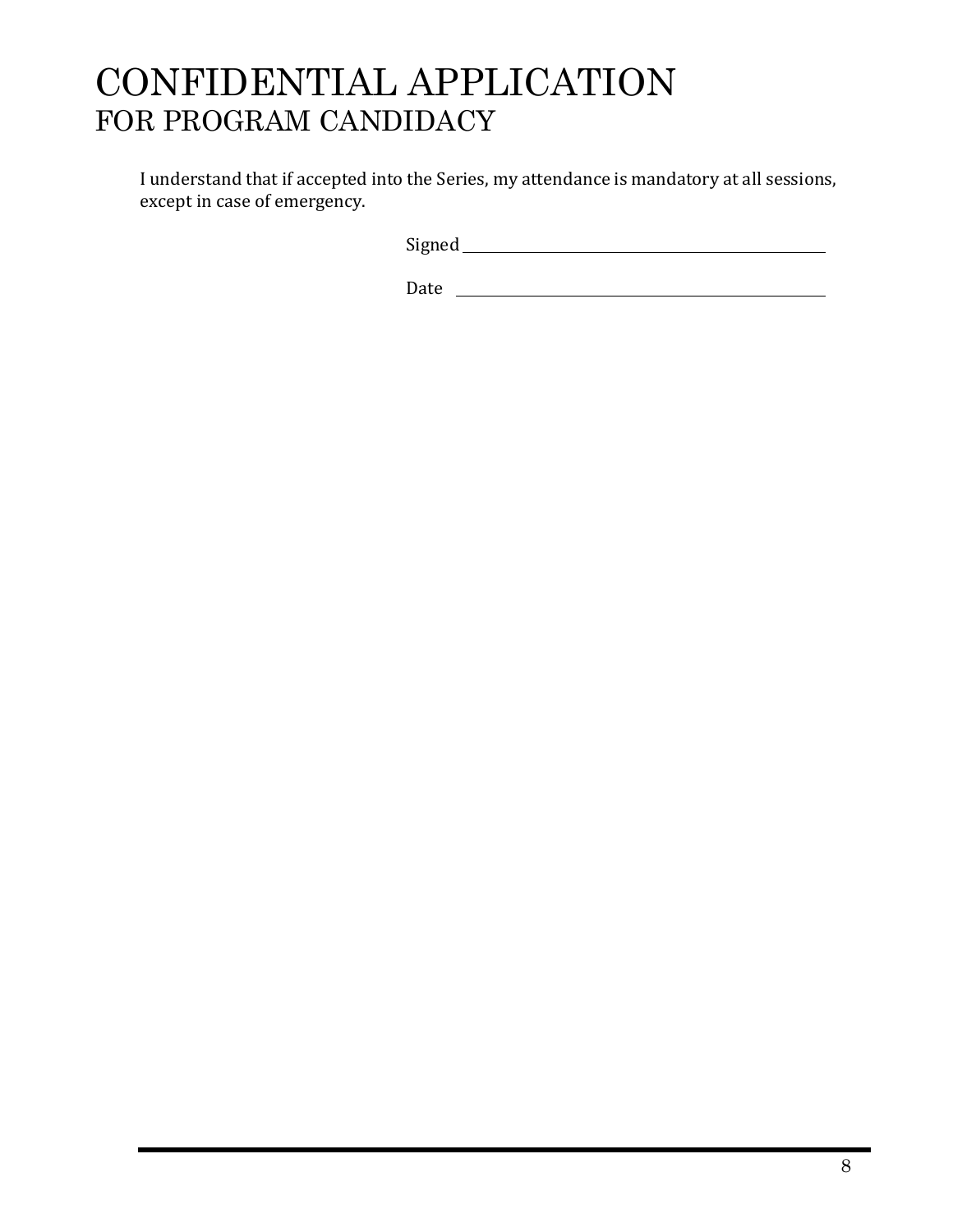I understand that if accepted into the Series, my attendance is mandatory at all sessions, except in case of emergency.

Signed

Date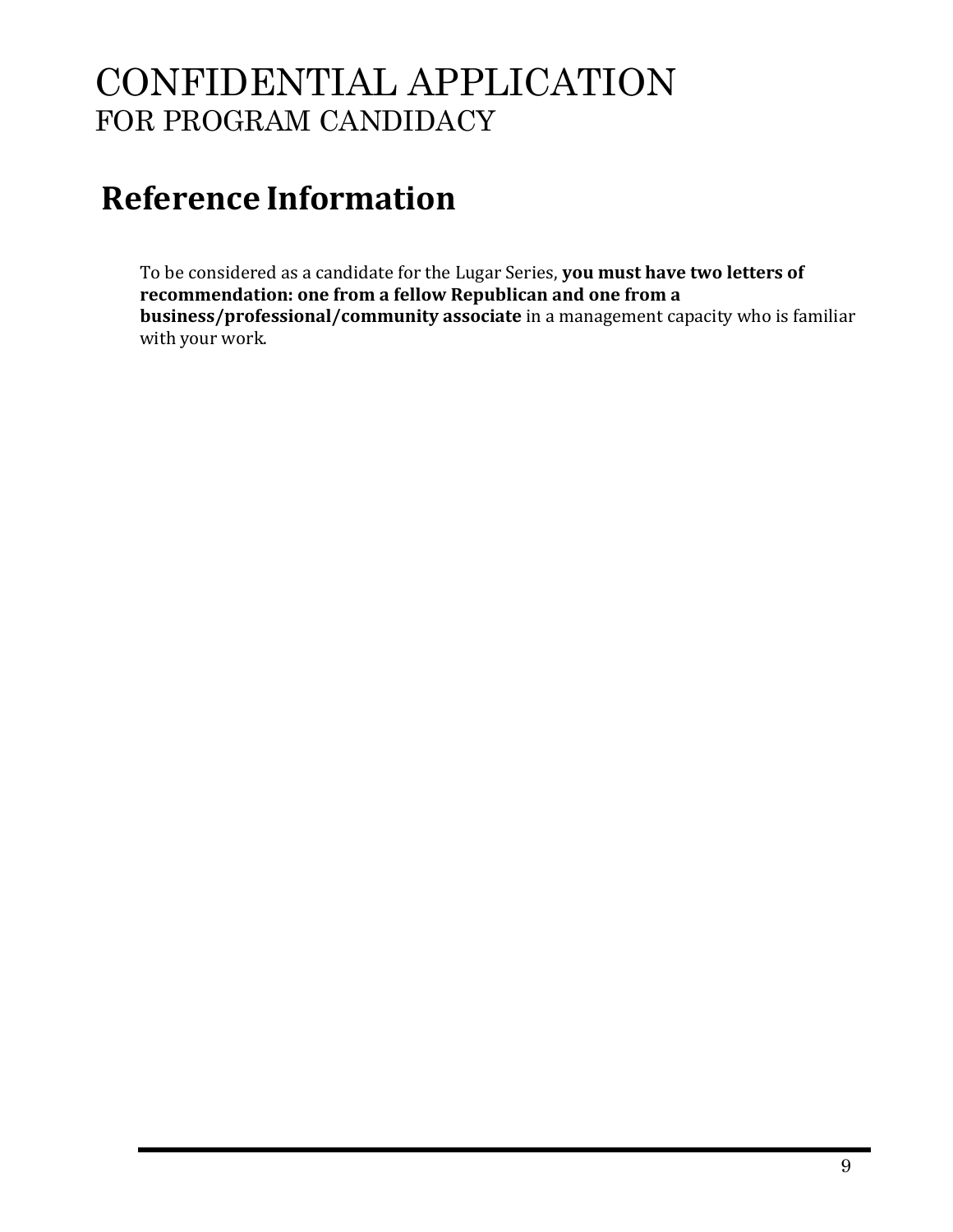## **Reference Information**

To be considered as a candidate for the Lugar Series, **you must have two letters of recommendation: one from a fellow Republican and one from a business/professional/community associate** in a management capacity who is familiar with your work.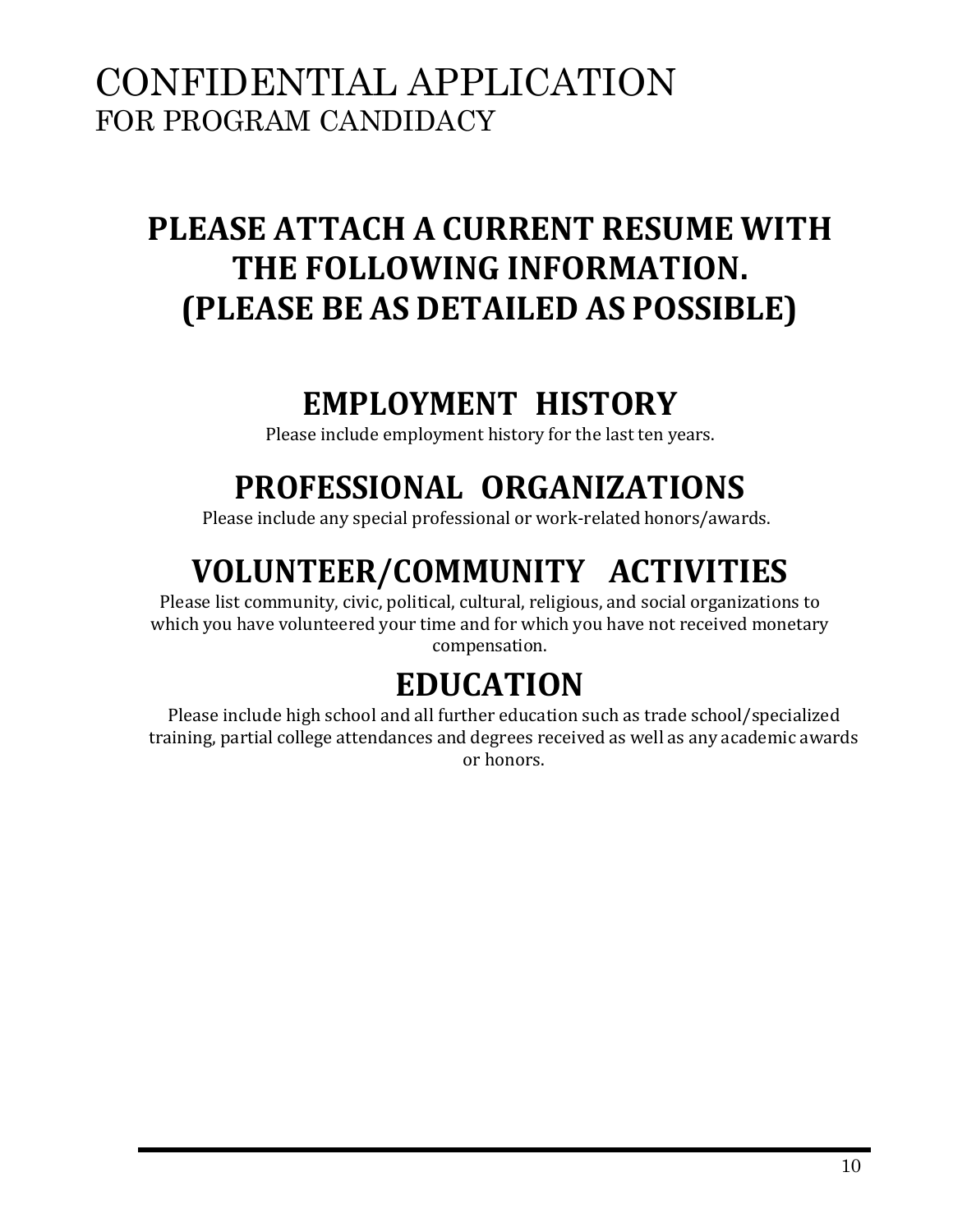## **PLEASE ATTACH A CURRENT RESUME WITH THE FOLLOWING INFORMATION. (PLEASE BE AS DETAILED AS POSSIBLE)**

### **EMPLOYMENT HISTORY**

Please include employment history for the last ten years.

## **PROFESSIONAL ORGANIZATIONS**

Please include any special professional or work-related honors/awards.

## **VOLUNTEER/COMMUNITY ACTIVITIES**

Please list community, civic, political, cultural, religious, and social organizations to which you have volunteered your time and for which you have not received monetary compensation.

## **EDUCATION**

Please include high school and all further education such as trade school/specialized training, partial college attendances and degrees received as well as any academic awards or honors.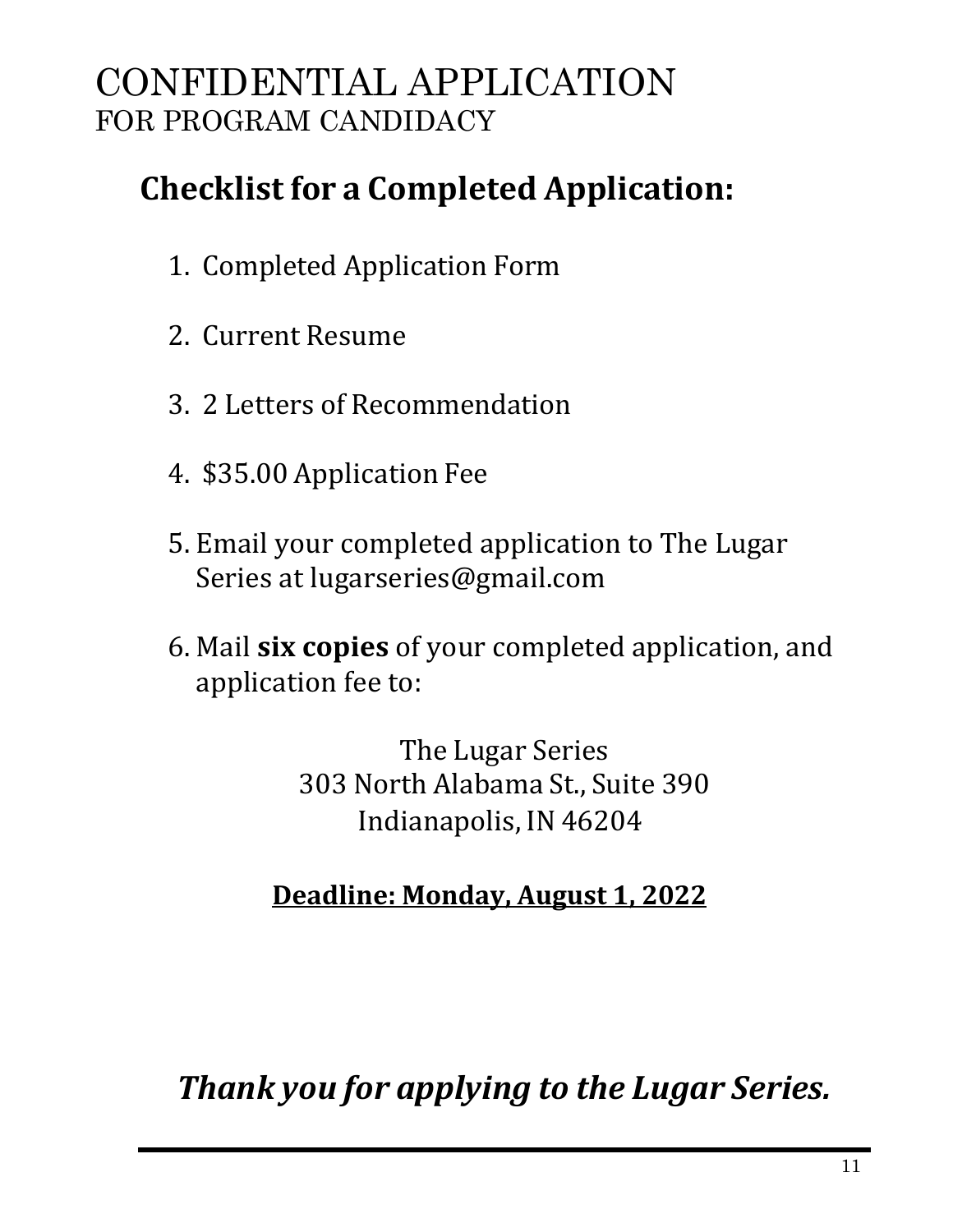## **Checklist for a Completed Application:**

- 1. Completed Application Form
- 2. Current Resume
- 3. 2 Letters of Recommendation
- 4. \$35.00 Application Fee
- 5. Email your completed application to The Lugar Series at [lugarseries@gmail.com](mailto:lugarseries@gmail.com)
- 6. Mail **six copies** of your completed application, and application fee to:

The Lugar Series 303 North Alabama St., Suite 390 Indianapolis, IN 46204

#### **Deadline: Monday, August 1, 2022**

*Thank you for applying to the Lugar Series.*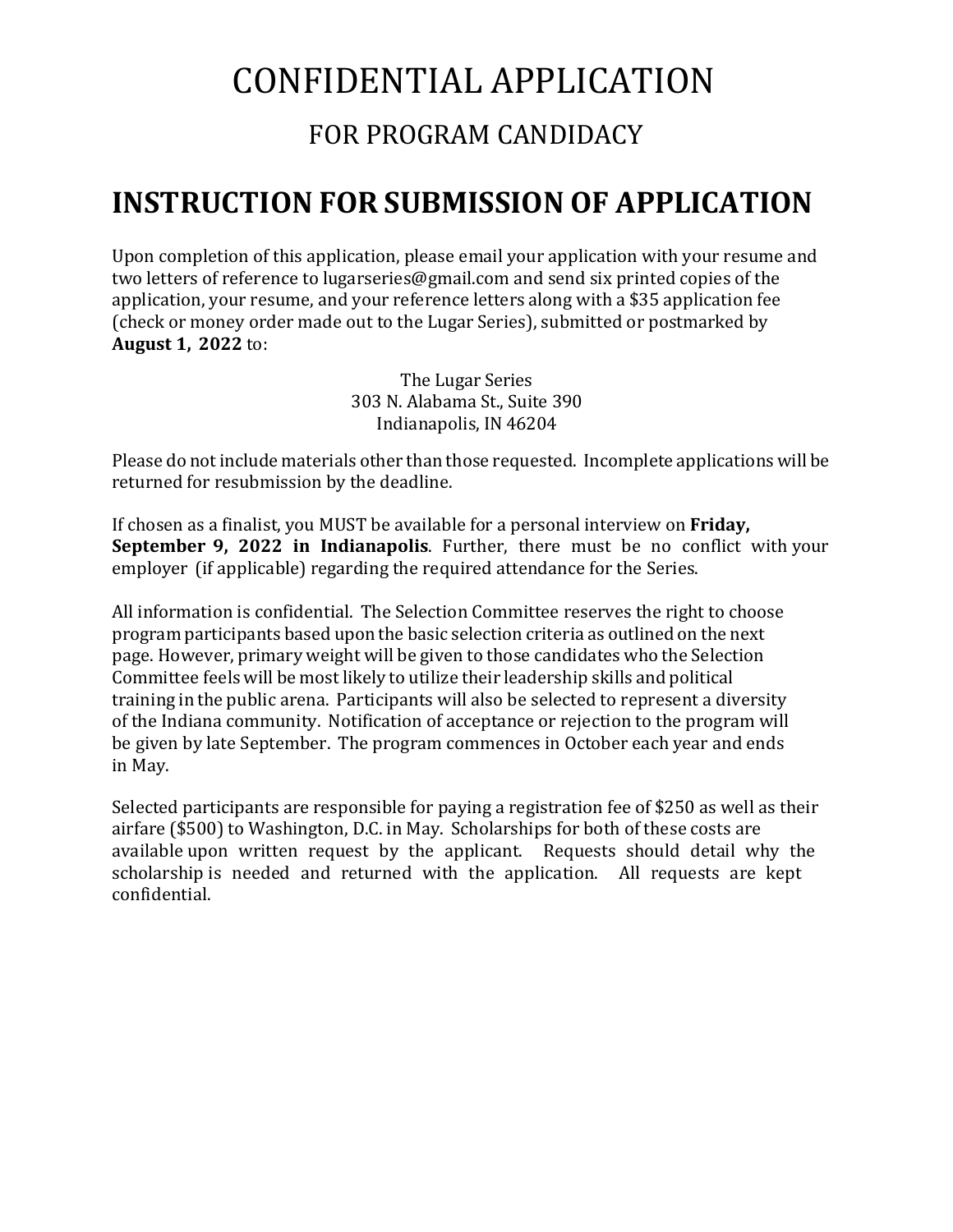## CONFIDENTIAL APPLICATION

#### FOR PROGRAM CANDIDACY

#### **INSTRUCTION FOR SUBMISSION OF APPLICATION**

Upon completion of this application, please email your application with your resume and two letters of reference to [lugarseries@gmail.com](mailto:lugarseries@gmail.com) and send six printed copies of the application, your resume, and your reference letters along with a \$35 application fee (check or money order made out to the Lugar Series), submitted or postmarked by **August 1, 2022** to:

> The Lugar Series 303 N. Alabama St., Suite 390 Indianapolis, IN 46204

Please do not include materials other than those requested. Incomplete applications will be returned for resubmission by the deadline.

If chosen as a finalist, you MUST be available for a personal interview on **Friday, September 9, 2022 in Indianapolis**. Further, there must be no conflict with your employer (if applicable) regarding the required attendance for the Series.

All information is confidential. The Selection Committee reserves the right to choose program participants based upon the basic selection criteria as outlined on the next page. However, primary weight will be given to those candidates who the Selection Committee feels will be most likely to utilize their leadership skills and political training in the public arena. Participants will also be selected to represent a diversity of the Indiana community. Notification of acceptance or rejection to the program will be given by late September. The program commences in October each year and ends in May.

Selected participants are responsible for paying a registration fee of \$250 as well as their airfare (\$500) to Washington, D.C. in May. Scholarships for both of these costs are available upon written request by the applicant. Requests should detail why the scholarship is needed and returned with the application. All requests are kept confidential.